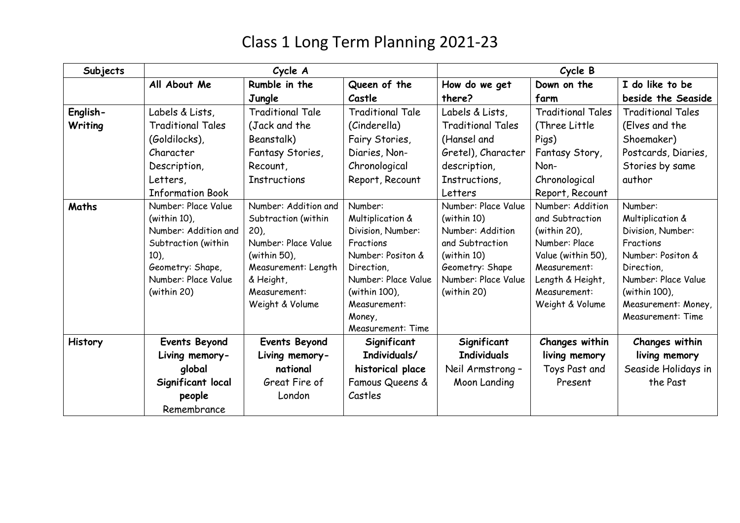| Subjects | Cycle A                  |                         |                         | Cycle B                  |                          |                          |  |
|----------|--------------------------|-------------------------|-------------------------|--------------------------|--------------------------|--------------------------|--|
|          | All About Me             | Rumble in the           | Queen of the            | How do we get            | Down on the              | I do like to be          |  |
|          |                          | Jungle                  | Castle                  | there?                   | farm                     | beside the Seaside       |  |
| English- | Labels & Lists,          | <b>Traditional Tale</b> | <b>Traditional Tale</b> | Labels & Lists,          | <b>Traditional Tales</b> | <b>Traditional Tales</b> |  |
| Writing  | <b>Traditional Tales</b> | (Jack and the           | (Cinderella)            | <b>Traditional Tales</b> | (Three Little)           | (Elves and the           |  |
|          | (Goldilocks),            | Beanstalk)              | Fairy Stories,          | (Hansel and              | Pigs)                    | Shoemaker)               |  |
|          | Character                | Fantasy Stories,        | Diaries, Non-           | Gretel), Character       | Fantasy Story,           | Postcards, Diaries,      |  |
|          | Description,             | Recount,                | Chronological           | description,             | Non-                     | Stories by same          |  |
|          | Letters,                 | <b>Instructions</b>     | Report, Recount         | Instructions,            | Chronological            | author                   |  |
|          | <b>Information Book</b>  |                         |                         | Letters                  | Report, Recount          |                          |  |
| Maths    | Number: Place Value      | Number: Addition and    | Number:                 | Number: Place Value      | Number: Addition         | Number:                  |  |
|          | (within $10$ ),          | Subtraction (within     | Multiplication &        | (within 10)              | and Subtraction          | Multiplication &         |  |
|          | Number: Addition and     | $(20)$ ,                | Division, Number:       | Number: Addition         | (within 20),             | Division, Number:        |  |
|          | Subtraction (within      | Number: Place Value     | Fractions               | and Subtraction          | Number: Place            | Fractions                |  |
|          | $10$ ),                  | (within 50),            | Number: Positon &       | (within 10)              | Value (within 50),       | Number: Positon &        |  |
|          | Geometry: Shape,         | Measurement: Length     | Direction,              | Geometry: Shape          | Measurement:             | Direction,               |  |
|          | Number: Place Value      | & Height,               | Number: Place Value     | Number: Place Value      | Length & Height,         | Number: Place Value      |  |
|          | (within 20)              | Measurement:            | (within 100),           | (within 20)              | Measurement:             | (within 100),            |  |
|          |                          | Weight & Volume         | Measurement:            |                          | Weight & Volume          | Measurement: Money,      |  |
|          |                          |                         | Money,                  |                          |                          | Measurement: Time        |  |
|          |                          |                         | Measurement: Time       |                          |                          |                          |  |
| History  | <b>Events Beyond</b>     | <b>Events Beyond</b>    | Significant             | Significant              | Changes within           | Changes within           |  |
|          | Living memory-           | Living memory-          | Individuals/            | <b>Individuals</b>       | living memory            | living memory            |  |
|          | global                   | national                | historical place        | Neil Armstrong-          | Toys Past and            | Seaside Holidays in      |  |
|          | Significant local        | Great Fire of           | Famous Queens &         | Moon Landing             | Present                  | the Past                 |  |
|          | people                   | London                  | Castles                 |                          |                          |                          |  |
|          | Remembrance              |                         |                         |                          |                          |                          |  |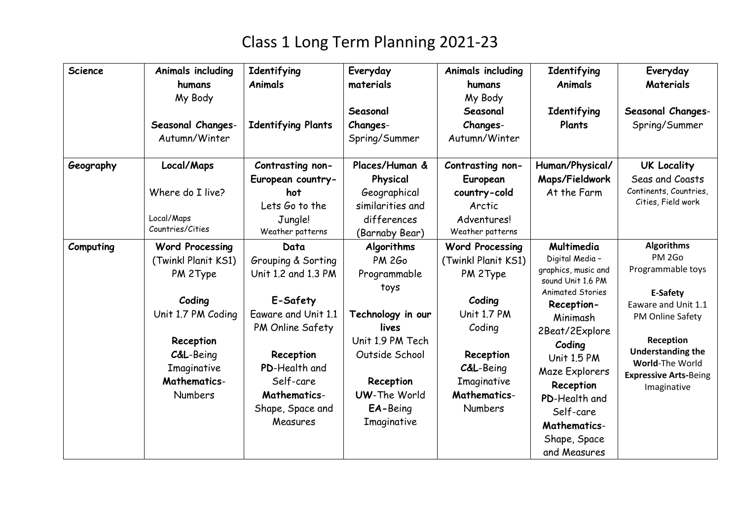| <b>Science</b> | <b>Animals including</b><br>humans<br>My Body<br>Seasonal Changes-<br>Autumn/Winter                                                                                         | Identifying<br><b>Animals</b><br><b>Identifying Plants</b>                                                                                                                                          | Everyday<br>materials<br>Seasonal<br>Changes-<br>Spring/Summer                                                                                                                  | Animals including<br>humans<br>My Body<br>Seasonal<br>Changes-<br>Autumn/Winter                                                                                                           | Identifying<br><b>Animals</b><br>Identifying<br>Plants                                                                                                                                                                                                                                               | Everyday<br>Materials<br>Seasonal Changes-<br>Spring/Summer                                                                                                                                                        |
|----------------|-----------------------------------------------------------------------------------------------------------------------------------------------------------------------------|-----------------------------------------------------------------------------------------------------------------------------------------------------------------------------------------------------|---------------------------------------------------------------------------------------------------------------------------------------------------------------------------------|-------------------------------------------------------------------------------------------------------------------------------------------------------------------------------------------|------------------------------------------------------------------------------------------------------------------------------------------------------------------------------------------------------------------------------------------------------------------------------------------------------|--------------------------------------------------------------------------------------------------------------------------------------------------------------------------------------------------------------------|
| Geography      | Local/Maps<br>Where do I live?<br>Local/Maps<br>Countries/Cities                                                                                                            | Contrasting non-<br>European country-<br>hot<br>Lets Go to the<br>Jungle!<br>Weather patterns                                                                                                       | Places/Human &<br>Physical<br>Geographical<br>similarities and<br>differences<br>(Barnaby Bear)                                                                                 | Contrasting non-<br>European<br>country-cold<br>Arctic<br>Adventures!<br>Weather patterns                                                                                                 | Human/Physical/<br>Maps/Fieldwork<br>At the Farm                                                                                                                                                                                                                                                     | <b>UK Locality</b><br>Seas and Coasts<br>Continents, Countries,<br>Cities, Field work                                                                                                                              |
| Computing      | <b>Word Processing</b><br>(Twinkl Planit KS1)<br>PM 2Type<br>Coding<br>Unit 1.7 PM Coding<br>Reception<br>C&L-Being<br>Imaginative<br><b>Mathematics-</b><br><b>Numbers</b> | Data<br>Grouping & Sorting<br>Unit 1.2 and 1.3 PM<br>E-Safety<br>Eaware and Unit 1.1<br>PM Online Safety<br>Reception<br>PD-Health and<br>Self-care<br>Mathematics-<br>Shape, Space and<br>Measures | Algorithms<br><b>PM 2Go</b><br>Programmable<br>toys<br>Technology in our<br>lives<br>Unit 1.9 PM Tech<br>Outside School<br>Reception<br>UW-The World<br>EA-Being<br>Imaginative | <b>Word Processing</b><br>(Twinkl Planit KS1)<br>PM 2Type<br>Coding<br><b>Unit 1.7 PM</b><br>Coding<br>Reception<br><b>C&amp;L-Being</b><br>Imaginative<br>Mathematics-<br><b>Numbers</b> | Multimedia<br>Digital Media -<br>graphics, music and<br>sound Unit 1.6 PM<br><b>Animated Stories</b><br>Reception-<br>Minimash<br>2Beat/2Explore<br>Coding<br><b>Unit 1.5 PM</b><br>Maze Explorers<br>Reception<br>PD-Health and<br>Self-care<br><b>Mathematics-</b><br>Shape, Space<br>and Measures | <b>Algorithms</b><br>PM 2Go<br>Programmable toys<br>E-Safety<br>Eaware and Unit 1.1<br>PM Online Safety<br>Reception<br><b>Understanding the</b><br>World-The World<br><b>Expressive Arts-Being</b><br>Imaginative |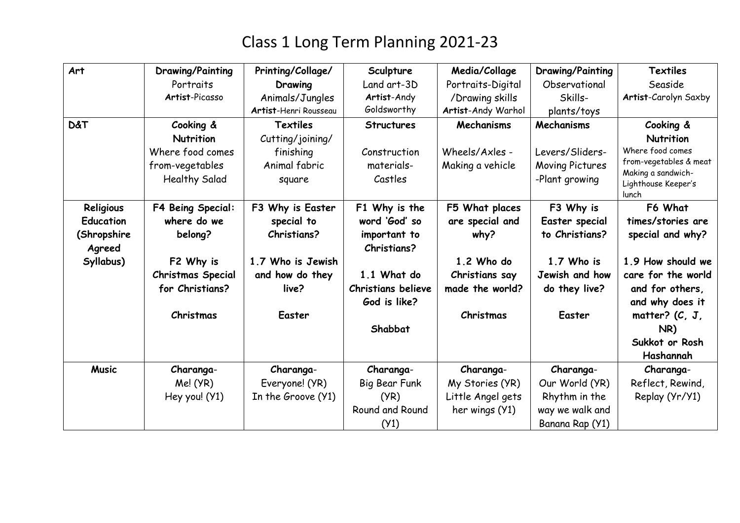| Art              | <b>Drawing/Painting</b>  | Printing/Collage/     | Sculpture                 | Media/Collage      | <b>Drawing/Painting</b> | <b>Textiles</b>                           |
|------------------|--------------------------|-----------------------|---------------------------|--------------------|-------------------------|-------------------------------------------|
|                  | Portraits                | Drawing               | Land art-3D               | Portraits-Digital  | Observational           | Seaside                                   |
|                  | Artist-Picasso           | Animals/Jungles       | Artist-Andy               | /Drawing skills    | Skills-                 | Artist-Carolyn Saxby                      |
|                  |                          | Artist-Henri Rousseau | Goldsworthy               | Artist-Andy Warhol | plants/toys             |                                           |
| <b>D&amp;T</b>   | Cooking &                | Textiles              | <b>Structures</b>         | Mechanisms         | Mechanisms              | Cooking &                                 |
|                  | Nutrition                | Cutting/joining/      |                           |                    |                         | Nutrition                                 |
|                  | Where food comes         | finishing             | Construction              | Wheels/Axles -     | Levers/Sliders-         | Where food comes                          |
|                  | from-vegetables          | Animal fabric         | materials-                | Making a vehicle   | Moving Pictures         | from-vegetables & meat                    |
|                  | <b>Healthy Salad</b>     | square                | Castles                   |                    | -Plant growing          | Making a sandwich-<br>Lighthouse Keeper's |
|                  |                          |                       |                           |                    |                         | lunch                                     |
| Religious        | F4 Being Special:        | F3 Why is Easter      | F1 Why is the             | F5 What places     | F3 Why is               | F6 What                                   |
| <b>Education</b> | where do we              | special to            | word 'God' so             | are special and    | Easter special          | times/stories are                         |
| (Shropshire      | belong?                  | <b>Christians?</b>    | important to              | why?               | to Christians?          | special and why?                          |
| Agreed           |                          |                       | <b>Christians?</b>        |                    |                         |                                           |
| Syllabus)        | F2 Why is                | 1.7 Who is Jewish     |                           | 1.2 Who do         | 1.7 Who is              | 1.9 How should we                         |
|                  | <b>Christmas Special</b> | and how do they       | 1.1 What do               | Christians say     | Jewish and how          | care for the world                        |
|                  | for Christians?          | live?                 | <b>Christians believe</b> | made the world?    | do they live?           | and for others,                           |
|                  |                          |                       | God is like?              |                    |                         | and why does it                           |
|                  | Christmas                | Easter                |                           | Christmas          | Easter                  | matter? $(C, J)$                          |
|                  |                          |                       | Shabbat                   |                    |                         | NR)                                       |
|                  |                          |                       |                           |                    |                         | Sukkot or Rosh                            |
|                  |                          |                       |                           |                    |                         | Hashannah                                 |
| <b>Music</b>     | Charanga-                | Charanga-             | Charanga-                 | Charanga-          | Charanga-               | Charanga-                                 |
|                  | Me! (YR)                 | Everyone! (YR)        | Big Bear Funk             | My Stories (YR)    | Our World (YR)          | Reflect, Rewind,                          |
|                  | Hey you! (Y1)            | In the Groove (Y1)    | (YR)                      | Little Angel gets  | Rhythm in the           | Replay (Yr/Y1)                            |
|                  |                          |                       | Round and Round           | her wings (Y1)     | way we walk and         |                                           |
|                  |                          |                       | (Y1)                      |                    | Banana Rap (Y1)         |                                           |